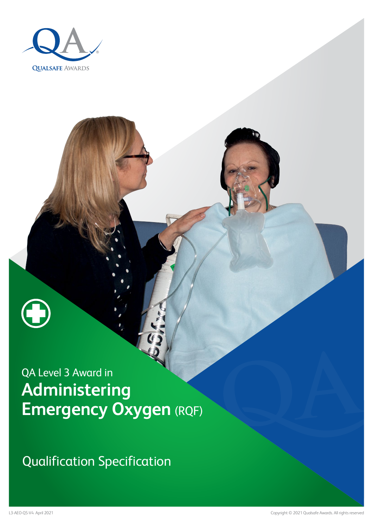

Qualification Specification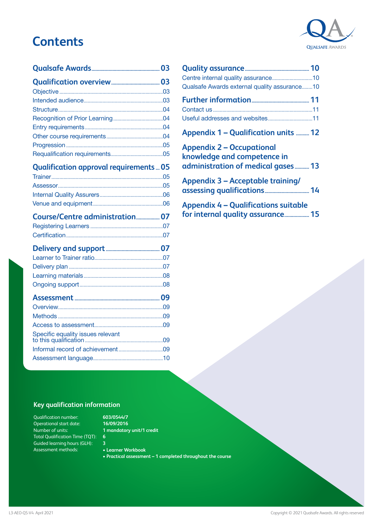### **Contents**



#### **[Qualification approval requirements](#page-4-0) ...05**

| Course/Centre administration 07 |  |
|---------------------------------|--|
|                                 |  |
|                                 |  |

| Specific equality issues relevant |  |
|-----------------------------------|--|
|                                   |  |
|                                   |  |

| Qualsafe Awards external quality assurance10                                                          |  |
|-------------------------------------------------------------------------------------------------------|--|
|                                                                                                       |  |
| Appendix 1 – Qualification units  12                                                                  |  |
| <b>Appendix 2 – Occupational</b><br>knowledge and competence in<br>administration of medical gases 13 |  |
| <b>Appendix 3 - Acceptable training/</b>                                                              |  |

**[Appendix 4 – Qualifications suitable](#page-14-0)  [for internal quality assurance...................15](#page-14-0)**

#### **Key qualification information**

Qualification number: Operational start date: Number of units: Total Qualification Time (TQT): **6** Guided learning hours (GLH): Assessment methods:

- **603/0544/7 16/09/2016 1 mandatory unit/1 credit**
- **3 • Learner Workbook**
- **• Practical assessment 1 completed throughout the course**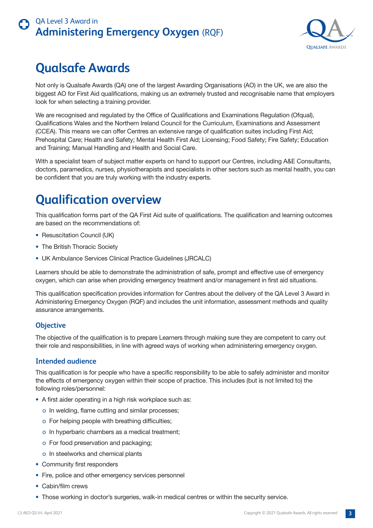

## <span id="page-2-0"></span>**Qualsafe Awards**

Not only is Qualsafe Awards (QA) one of the largest Awarding Organisations (AO) in the UK, we are also the biggest AO for First Aid qualifications, making us an extremely trusted and recognisable name that employers look for when selecting a training provider.

We are recognised and regulated by the Office of Qualifications and Examinations Regulation (Ofqual), Qualifications Wales and the Northern Ireland Council for the Curriculum, Examinations and Assessment (CCEA). This means we can offer Centres an extensive range of qualification suites including First Aid; Prehospital Care; Health and Safety; Mental Health First Aid; Licensing; Food Safety; Fire Safety; Education and Training; Manual Handling and Health and Social Care.

With a specialist team of subject matter experts on hand to support our Centres, including A&E Consultants, doctors, paramedics, nurses, physiotherapists and specialists in other sectors such as mental health, you can be confident that you are truly working with the industry experts.

## **Qualification overview**

This qualification forms part of the QA First Aid suite of qualifications. The qualification and learning outcomes are based on the recommendations of:

- Resuscitation Council (UK)
- The British Thoracic Society
- UK Ambulance Services Clinical Practice Guidelines (JRCALC)

Learners should be able to demonstrate the administration of safe, prompt and effective use of emergency oxygen, which can arise when providing emergency treatment and/or management in first aid situations.

This qualification specification provides information for Centres about the delivery of the QA Level 3 Award in Administering Emergency Oxygen (RQF) and includes the unit information, assessment methods and quality assurance arrangements.

#### **Objective**

The objective of the qualification is to prepare Learners through making sure they are competent to carry out their role and responsibilities, in line with agreed ways of working when administering emergency oxygen.

#### **Intended audience**

This qualification is for people who have a specific responsibility to be able to safely administer and monitor the effects of emergency oxygen within their scope of practice. This includes (but is not limited to) the following roles/personnel:

- A first aider operating in a high risk workplace such as:
	- o In welding, flame cutting and similar processes;
	- o For helping people with breathing difficulties;
	- o In hyperbaric chambers as a medical treatment;
	- o For food preservation and packaging;
	- o In steelworks and chemical plants
- Community first responders
- Fire, police and other emergency services personnel
- Cabin/film crews
- Those working in doctor's surgeries, walk-in medical centres or within the security service.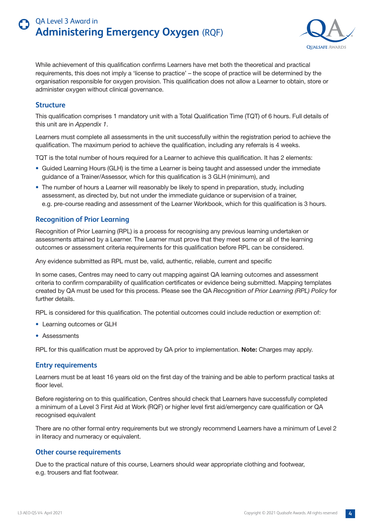

<span id="page-3-0"></span>While achievement of this qualification confirms Learners have met both the theoretical and practical requirements, this does not imply a 'license to practice' – the scope of practice will be determined by the organisation responsible for oxygen provision. This qualification does not allow a Learner to obtain, store or administer oxygen without clinical governance.

#### **Structure**

This qualification comprises 1 mandatory unit with a Total Qualification Time (TQT) of 6 hours. Full details of this unit are in *Appendix 1*.

Learners must complete all assessments in the unit successfully within the registration period to achieve the qualification. The maximum period to achieve the qualification, including any referrals is 4 weeks.

TQT is the total number of hours required for a Learner to achieve this qualification. It has 2 elements:

- Guided Learning Hours (GLH) is the time a Learner is being taught and assessed under the immediate guidance of a Trainer/Assessor, which for this qualification is 3 GLH (minimum), and
- The number of hours a Learner will reasonably be likely to spend in preparation, study, including assessment, as directed by, but not under the immediate guidance or supervision of a trainer, e.g. pre-course reading and assessment of the Learner Workbook, which for this qualification is 3 hours.

#### **Recognition of Prior Learning**

Recognition of Prior Learning (RPL) is a process for recognising any previous learning undertaken or assessments attained by a Learner. The Learner must prove that they meet some or all of the learning outcomes or assessment criteria requirements for this qualification before RPL can be considered.

Any evidence submitted as RPL must be, valid, authentic, reliable, current and specific

In some cases, Centres may need to carry out mapping against QA learning outcomes and assessment criteria to confirm comparability of qualification certificates or evidence being submitted. Mapping templates created by QA must be used for this process. Please see the QA *Recognition of Prior Learning (RPL) Policy* for further details.

RPL is considered for this qualification. The potential outcomes could include reduction or exemption of:

- Learning outcomes or GLH
- Assessments

RPL for this qualification must be approved by QA prior to implementation. **Note:** Charges may apply.

#### **Entry requirements**

Learners must be at least 16 years old on the first day of the training and be able to perform practical tasks at floor level.

Before registering on to this qualification, Centres should check that Learners have successfully completed a minimum of a Level 3 First Aid at Work (RQF) or higher level first aid/emergency care qualification or QA recognised equivalent

There are no other formal entry requirements but we strongly recommend Learners have a minimum of Level 2 in literacy and numeracy or equivalent.

#### **Other course requirements**

Due to the practical nature of this course, Learners should wear appropriate clothing and footwear, e.g. trousers and flat footwear.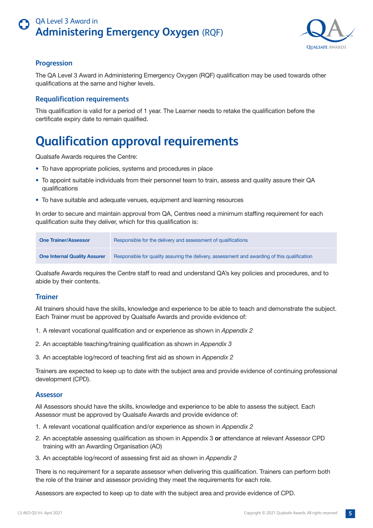

#### <span id="page-4-0"></span>**Progression**

The QA Level 3 Award in Administering Emergency Oxygen (RQF) qualification may be used towards other qualifications at the same and higher levels.

#### **Requalification requirements**

This qualification is valid for a period of 1 year. The Learner needs to retake the qualification before the certificate expiry date to remain qualified.

## **Qualification approval requirements**

Qualsafe Awards requires the Centre:

- To have appropriate policies, systems and procedures in place
- To appoint suitable individuals from their personnel team to train, assess and quality assure their QA qualifications
- To have suitable and adequate venues, equipment and learning resources

In order to secure and maintain approval from QA, Centres need a minimum staffing requirement for each qualification suite they deliver, which for this qualification is:

| <b>One Trainer/Assessor</b>         | Responsible for the delivery and assessment of qualifications                                |
|-------------------------------------|----------------------------------------------------------------------------------------------|
| <b>One Internal Quality Assurer</b> | Responsible for quality assuring the delivery, assessment and awarding of this qualification |

Qualsafe Awards requires the Centre staff to read and understand QA's key policies and procedures, and to abide by their contents.

#### **Trainer**

All trainers should have the skills, knowledge and experience to be able to teach and demonstrate the subject. Each Trainer must be approved by Qualsafe Awards and provide evidence of:

- 1. A relevant vocational qualification and or experience as shown in *Appendix 2*
- 2. An acceptable teaching/training qualification as shown in *Appendix 3*
- 3. An acceptable log/record of teaching first aid as shown in *Appendix 2*

Trainers are expected to keep up to date with the subject area and provide evidence of continuing professional development (CPD).

#### **Assessor**

All Assessors should have the skills, knowledge and experience to be able to assess the subject. Each Assessor must be approved by Qualsafe Awards and provide evidence of:

- 1. A relevant vocational qualification and/or experience as shown in *Appendix 2*
- 2. An acceptable assessing qualification as shown in Appendix 3 **or** attendance at relevant Assessor CPD training with an Awarding Organisation (AO)
- 3. An acceptable log/record of assessing first aid as shown in *Appendix 2*

There is no requirement for a separate assessor when delivering this qualification. Trainers can perform both the role of the trainer and assessor providing they meet the requirements for each role.

Assessors are expected to keep up to date with the subject area and provide evidence of CPD.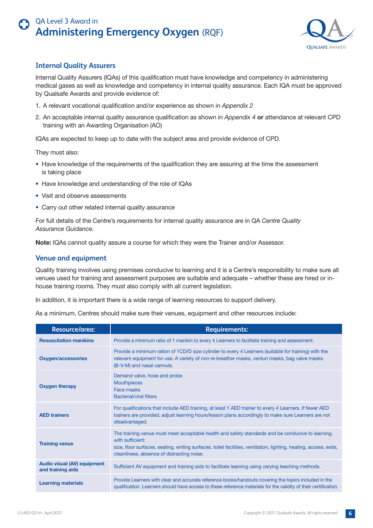

#### <span id="page-5-0"></span>**Internal Quality Assurers**

Internal Quality Assurers (IQAs) of this qualification must have knowledge and competency in administering medical gases as well as knowledge and competency in internal quality assurance. Each IQA must be approved by Qualsafe Awards and provide evidence of:

- 1. A relevant vocational qualification and/or experience as shown in *Appendix 2*
- 2. An acceptable internal quality assurance qualification as shown in *Appendix 4* **or** attendance at relevant CPD training with an Awarding Organisation (AO)

IQAs are expected to keep up to date with the subject area and provide evidence of CPD.

They must also:

- Have knowledge of the requirements of the qualification they are assuring at the time the assessment is taking place
- Have knowledge and understanding of the role of IQAs
- Visit and observe assessments
- Carry out other related internal quality assurance

For full details of the Centre's requirements for internal quality assurance are in QA *Centre Quality Assurance Guidance.*

**Note:** IQAs cannot quality assure a course for which they were the Trainer and/or Assessor.

#### **Venue and equipment**

Quality training involves using premises conducive to learning and it is a Centre's responsibility to make sure all venues used for training and assessment purposes are suitable and adequate – whether these are hired or inhouse training rooms. They must also comply with all current legislation.

In addition, it is important there is a wide range of learning resources to support delivery.

As a minimum, Centres should make sure their venues, equipment and other resources include:

| Resource/area:                                          | <b>Requirements:</b>                                                                                                                                                                                                                                                                      |
|---------------------------------------------------------|-------------------------------------------------------------------------------------------------------------------------------------------------------------------------------------------------------------------------------------------------------------------------------------------|
| <b>Resuscitation manikins</b>                           | Provide a minimum ratio of 1 manikin to every 4 Learners to facilitate training and assessment.                                                                                                                                                                                           |
| <b>Oxygen/accessories</b>                               | Provide a minimum ration of 1CD/D size cylinder to every 4 Learners (suitable for training) with the<br>relevant equipment for use. A variety of non re-breather masks, venturi masks, bag valve masks<br>(B-V-M) and nasal cannula.                                                      |
| <b>Oxygen therapy</b>                                   | Demand valve, hose and probe<br><b>Mouthpieces</b><br>Face masks<br><b>Bacterial/viral filters</b>                                                                                                                                                                                        |
| <b>AED trainers</b>                                     | For qualifications that include AED training, at least 1 AED trainer to every 4 Learners. If fewer AED<br>trainers are provided, adjust learning hours/lesson plans accordingly to make sure Learners are not<br>disadvantaged.                                                           |
| <b>Training venue</b>                                   | The training venue must meet acceptable health and safety standards and be conducive to learning,<br>with sufficient:<br>size, floor surfaces, seating, writing surfaces, toilet facilities, ventilation, lighting, heating, access, exits,<br>cleanliness, absence of distracting noise. |
| <b>Audio visual (AV) equipment</b><br>and training aids | Sufficient AV equipment and training aids to facilitate learning using varying teaching methods.                                                                                                                                                                                          |
| <b>Learning materials</b>                               | Provide Learners with clear and accurate reference books/handouts covering the topics included in the<br>qualification. Learners should have access to these reference materials for the validity of their certification.                                                                 |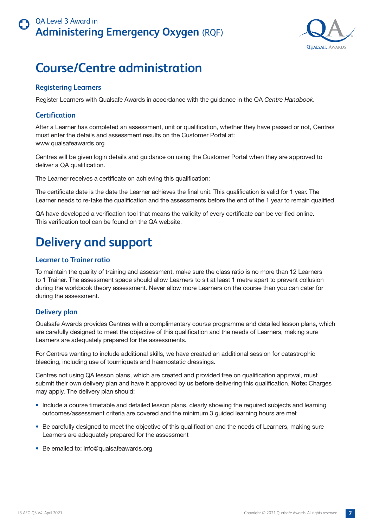

## <span id="page-6-0"></span>**Course/Centre administration**

#### **Registering Learners**

Register Learners with Qualsafe Awards in accordance with the guidance in the QA *Centre Handbook*.

#### **Certification**

After a Learner has completed an assessment, unit or qualification, whether they have passed or not, Centres must enter the details and assessment results on the Customer Portal at: www.qualsafeawards.org

Centres will be given login details and guidance on using the Customer Portal when they are approved to deliver a QA qualification.

The Learner receives a certificate on achieving this qualification:

The certificate date is the date the Learner achieves the final unit. This qualification is valid for 1 year. The Learner needs to re-take the qualification and the assessments before the end of the 1 year to remain qualified.

QA have developed a verification tool that means the validity of every certificate can be verified online. This verification tool can be found on the QA website.

## **Delivery and support**

#### **Learner to Trainer ratio**

To maintain the quality of training and assessment, make sure the class ratio is no more than 12 Learners to 1 Trainer. The assessment space should allow Learners to sit at least 1 metre apart to prevent collusion during the workbook theory assessment. Never allow more Learners on the course than you can cater for during the assessment.

#### **Delivery plan**

Qualsafe Awards provides Centres with a complimentary course programme and detailed lesson plans, which are carefully designed to meet the objective of this qualification and the needs of Learners, making sure Learners are adequately prepared for the assessments.

For Centres wanting to include additional skills, we have created an additional session for catastrophic bleeding, including use of tourniquets and haemostatic dressings.

Centres not using QA lesson plans, which are created and provided free on qualification approval, must submit their own delivery plan and have it approved by us **before** delivering this qualification. **Note:** Charges may apply. The delivery plan should:

- Include a course timetable and detailed lesson plans, clearly showing the required subjects and learning outcomes/assessment criteria are covered and the minimum 3 guided learning hours are met
- Be carefully designed to meet the objective of this qualification and the needs of Learners, making sure Learners are adequately prepared for the assessment
- Be emailed to: info@qualsafeawards.org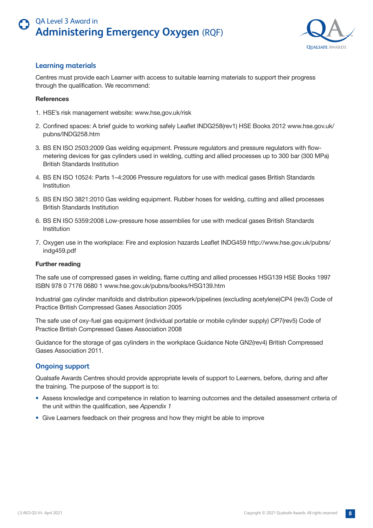

#### <span id="page-7-0"></span>**Learning materials**

Centres must provide each Learner with access to suitable learning materials to support their progress through the qualification. We recommend:

#### **References**

- 1. HSE's risk management website: www.hse,gov.uk/risk
- 2. Confined spaces: A brief guide to working safely Leaflet INDG258(rev1) HSE Books 2012 www.hse.gov.uk/ pubns/INDG258.htm
- 3. BS EN ISO 2503:2009 Gas welding equipment. Pressure regulators and pressure regulators with flowmetering devices for gas cylinders used in welding, cutting and allied processes up to 300 bar (300 MPa) British Standards Institution
- 4. BS EN ISO 10524: Parts 1–4:2006 Pressure regulators for use with medical gases British Standards Institution
- 5. BS EN ISO 3821:2010 Gas welding equipment. Rubber hoses for welding, cutting and allied processes British Standards Institution
- 6. BS EN ISO 5359:2008 Low-pressure hose assemblies for use with medical gases British Standards Institution
- 7. Oxygen use in the workplace: Fire and explosion hazards Leaflet INDG459 http://www.hse.gov.uk/pubns/ indg459.pdf

#### **Further reading**

The safe use of compressed gases in welding, flame cutting and allied processes HSG139 HSE Books 1997 ISBN 978 0 7176 0680 1 www.hse.gov.uk/pubns/books/HSG139.htm

Industrial gas cylinder manifolds and distribution pipework/pipelines (excluding acetylene)CP4 (rev3) Code of Practice British Compressed Gases Association 2005

The safe use of oxy-fuel gas equipment (individual portable or mobile cylinder supply) CP7(rev5) Code of Practice British Compressed Gases Association 2008

Guidance for the storage of gas cylinders in the workplace Guidance Note GN2(rev4) British Compressed Gases Association 2011.

#### **Ongoing support**

Qualsafe Awards Centres should provide appropriate levels of support to Learners, before, during and after the training. The purpose of the support is to:

- Assess knowledge and competence in relation to learning outcomes and the detailed assessment criteria of the unit within the qualification, see *Appendix 1*
- Give Learners feedback on their progress and how they might be able to improve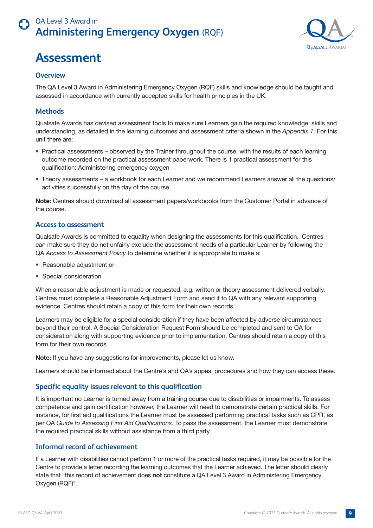<span id="page-8-0"></span>



#### **Overview**

The QA Level 3 Award in Administering Emergency Oxygen (RQF) skills and knowledge should be taught and assessed in accordance with currently accepted skills for health principles in the UK.

#### **Methods**

Qualsafe Awards has devised assessment tools to make sure Learners gain the required knowledge, skills and understanding, as detailed in the learning outcomes and assessment criteria shown in the *Appendix 1*. For this unit there are:

- Practical assessments observed by the Trainer throughout the course, with the results of each learning outcome recorded on the practical assessment paperwork. There is 1 practical assessment for this qualification: Administering emergency oxygen
- Theory assessments a workbook for each Learner and we recommend Learners answer all the questions/ activities successfully on the day of the course

**Note:** Centres should download all assessment papers/workbooks from the Customer Portal in advance of the course.

#### **Access to assessment**

Qualsafe Awards is committed to equality when designing the assessments for this qualification. Centres can make sure they do not unfairly exclude the assessment needs of a particular Learner by following the QA *Access to Assessment Policy* to determine whether it is appropriate to make a:

- Reasonable adjustment or
- Special consideration

When a reasonable adjustment is made or requested, e.g. written or theory assessment delivered verbally, Centres must complete a Reasonable Adjustment Form and send it to QA with any relevant supporting evidence. Centres should retain a copy of this form for their own records.

Learners may be eligible for a special consideration if they have been affected by adverse circumstances beyond their control. A Special Consideration Request Form should be completed and sent to QA for consideration along with supporting evidence prior to implementation. Centres should retain a copy of this form for their own records.

**Note:** If you have any suggestions for improvements, please let us know.

Learners should be informed about the Centre's and QA's appeal procedures and how they can access these.

#### **Specific equality issues relevant to this qualification**

It is important no Learner is turned away from a training course due to disabilities or impairments. To assess competence and gain certification however, the Learner will need to demonstrate certain practical skills. For instance, for first aid qualifications the Learner must be assessed performing practical tasks such as CPR, as per QA *Guide to Assessing First Aid Qualifications*. To pass the assessment, the Learner must demonstrate the required practical skills without assistance from a third party.

#### **Informal record of achievement**

If a Learner with disabilities cannot perform 1 or more of the practical tasks required, it may be possible for the Centre to provide a letter recording the learning outcomes that the Learner achieved. The letter should clearly state that "this record of achievement does **not** constitute a QA Level 3 Award in Administering Emergency Oxygen (RQF)".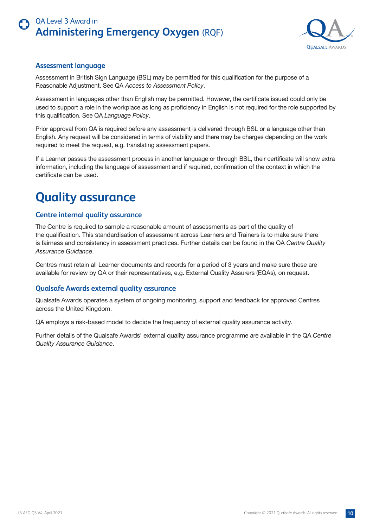

#### <span id="page-9-0"></span>**Assessment language**

Assessment in British Sign Language (BSL) may be permitted for this qualification for the purpose of a Reasonable Adjustment. See QA *Access to Assessment Policy*.

Assessment in languages other than English may be permitted. However, the certificate issued could only be used to support a role in the workplace as long as proficiency in English is not required for the role supported by this qualification. See QA *Language Policy*.

Prior approval from QA is required before any assessment is delivered through BSL or a language other than English. Any request will be considered in terms of viability and there may be charges depending on the work required to meet the request, e.g. translating assessment papers.

If a Learner passes the assessment process in another language or through BSL, their certificate will show extra information, including the language of assessment and if required, confirmation of the context in which the certificate can be used.

## **Quality assurance**

#### **Centre internal quality assurance**

The Centre is required to sample a reasonable amount of assessments as part of the quality of the qualification. This standardisation of assessment across Learners and Trainers is to make sure there is fairness and consistency in assessment practices. Further details can be found in the QA *Centre Quality Assurance Guidance*.

Centres must retain all Learner documents and records for a period of 3 years and make sure these are available for review by QA or their representatives, e.g. External Quality Assurers (EQAs), on request.

#### **Qualsafe Awards external quality assurance**

Qualsafe Awards operates a system of ongoing monitoring, support and feedback for approved Centres across the United Kingdom.

QA employs a risk-based model to decide the frequency of external quality assurance activity.

Further details of the Qualsafe Awards' external quality assurance programme are available in the QA *Centre Quality Assurance Guidance*.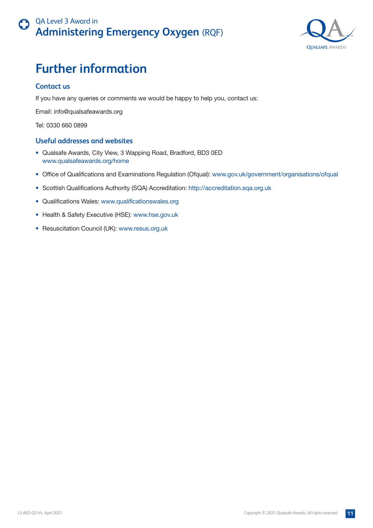

## <span id="page-10-0"></span>**Further information**

#### **Contact us**

If you have any queries or comments we would be happy to help you, contact us:

Email: info@qualsafeawards.org

Tel: 0330 660 0899

#### **Useful addresses and websites**

- Qualsafe Awards, City View, 3 Wapping Road, Bradford, BD3 0ED www.qualsafeawards.org/home
- Office of Qualifications and Examinations Regulation (Ofqual): www.gov.uk/government/organisations/ofqual
- Scottish Qualifications Authority (SQA) Accreditation: http://accreditation.sqa.org.uk
- Qualifications Wales: www.qualificationswales.org
- Health & Safety Executive (HSE): www.hse.gov.uk
- Resuscitation Council (UK): www.resus.org.uk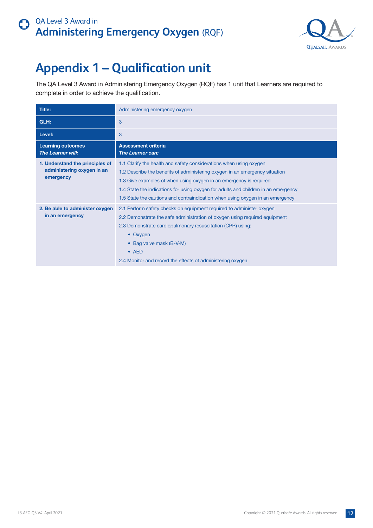

## <span id="page-11-0"></span>**Appendix 1 – Qualification unit**

The QA Level 3 Award in Administering Emergency Oxygen (RQF) has 1 unit that Learners are required to complete in order to achieve the qualification.

| Title:                                                                     | Administering emergency oxygen                                                                                                                                                                                                                                                                                                                                                                 |
|----------------------------------------------------------------------------|------------------------------------------------------------------------------------------------------------------------------------------------------------------------------------------------------------------------------------------------------------------------------------------------------------------------------------------------------------------------------------------------|
| GLH:                                                                       | 3                                                                                                                                                                                                                                                                                                                                                                                              |
| Level:                                                                     | 3                                                                                                                                                                                                                                                                                                                                                                                              |
| <b>Learning outcomes</b><br><b>The Learner will:</b>                       | <b>Assessment criteria</b><br><b>The Learner can:</b>                                                                                                                                                                                                                                                                                                                                          |
| 1. Understand the principles of<br>administering oxygen in an<br>emergency | 1.1 Clarify the health and safety considerations when using oxygen<br>1.2 Describe the benefits of administering oxygen in an emergency situation<br>1.3 Give examples of when using oxygen in an emergency is required<br>1.4 State the indications for using oxygen for adults and children in an emergency<br>1.5 State the cautions and contraindication when using oxygen in an emergency |
| 2. Be able to administer oxygen<br>in an emergency                         | 2.1 Perform safety checks on equipment required to administer oxygen<br>2.2 Demonstrate the safe administration of oxygen using required equipment<br>2.3 Demonstrate cardiopulmonary resuscitation (CPR) using:<br>• Oxygen<br>• Bag valve mask (B-V-M)<br>$\bullet$ AED<br>2.4 Monitor and record the effects of administering oxygen                                                        |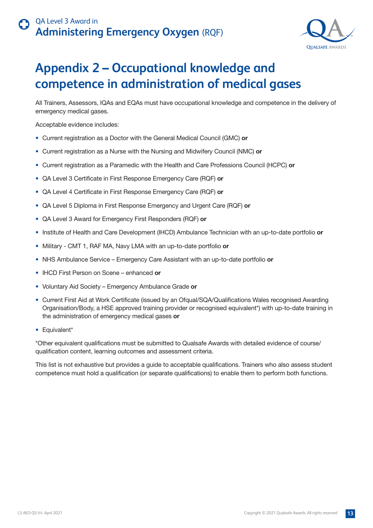

## <span id="page-12-0"></span>**Appendix 2 – Occupational knowledge and competence in administration of medical gases**

All Trainers, Assessors, IQAs and EQAs must have occupational knowledge and competence in the delivery of emergency medical gases.

Acceptable evidence includes:

- Current registration as a Doctor with the General Medical Council (GMC) **or**
- Current registration as a Nurse with the Nursing and Midwifery Council (NMC) **or**
- Current registration as a Paramedic with the Health and Care Professions Council (HCPC) **or**
- QA Level 3 Certificate in First Response Emergency Care (RQF) **or**
- QA Level 4 Certificate in First Response Emergency Care (RQF) **or**
- QA Level 5 Diploma in First Response Emergency and Urgent Care (RQF) **or**
- QA Level 3 Award for Emergency First Responders (RQF) **or**
- Institute of Health and Care Development (IHCD) Ambulance Technician with an up-to-date portfolio **or**
- Military CMT 1, RAF MA, Navy LMA with an up-to-date portfolio **or**
- NHS Ambulance Service Emergency Care Assistant with an up-to-date portfolio **or**
- IHCD First Person on Scene enhanced **or**
- Voluntary Aid Society Emergency Ambulance Grade **or**
- Current First Aid at Work Certificate (issued by an Ofqual/SQA/Qualifications Wales recognised Awarding Organisation/Body, a HSE approved training provider or recognised equivalent\*) with up-to-date training in the administration of emergency medical gases **or**
- Equivalent\*

\*Other equivalent qualifications must be submitted to Qualsafe Awards with detailed evidence of course/ qualification content, learning outcomes and assessment criteria.

This list is not exhaustive but provides a guide to acceptable qualifications. Trainers who also assess student competence must hold a qualification (or separate qualifications) to enable them to perform both functions.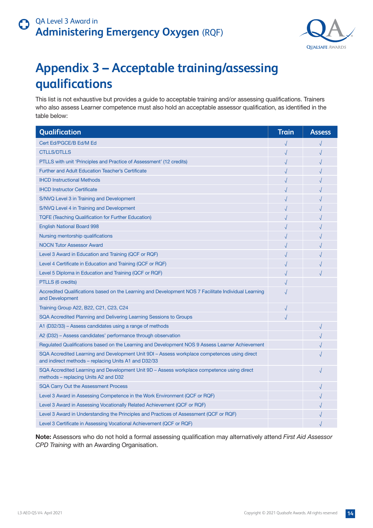

## <span id="page-13-0"></span>**Appendix 3 – Acceptable training/assessing qualifications**

This list is not exhaustive but provides a guide to acceptable training and/or assessing qualifications. Trainers who also assess Learner competence must also hold an acceptable assessor qualification, as identified in the table below:

| Qualification                                                                                                                                        | <b>Train</b> | <b>Assess</b> |
|------------------------------------------------------------------------------------------------------------------------------------------------------|--------------|---------------|
| Cert Ed/PGCE/B Ed/M Ed                                                                                                                               |              |               |
| <b>CTLLS/DTLLS</b>                                                                                                                                   |              |               |
| PTLLS with unit 'Principles and Practice of Assessment' (12 credits)                                                                                 |              |               |
| <b>Further and Adult Education Teacher's Certificate</b>                                                                                             |              |               |
| <b>IHCD Instructional Methods</b>                                                                                                                    |              |               |
| <b>IHCD Instructor Certificate</b>                                                                                                                   |              |               |
| S/NVQ Level 3 in Training and Development                                                                                                            |              |               |
| S/NVQ Level 4 in Training and Development                                                                                                            |              |               |
| <b>TQFE (Teaching Qualification for Further Education)</b>                                                                                           |              |               |
| <b>English National Board 998</b>                                                                                                                    |              |               |
| Nursing mentorship qualifications                                                                                                                    |              |               |
| <b>NOCN Tutor Assessor Award</b>                                                                                                                     |              |               |
| Level 3 Award in Education and Training (QCF or RQF)                                                                                                 |              |               |
| Level 4 Certificate in Education and Training (QCF or RQF)                                                                                           |              |               |
| Level 5 Diploma in Education and Training (QCF or RQF)                                                                                               |              |               |
| PTLLS (6 credits)                                                                                                                                    |              |               |
| Accredited Qualifications based on the Learning and Development NOS 7 Facilitate Individual Learning<br>and Development                              |              |               |
| Training Group A22, B22, C21, C23, C24                                                                                                               |              |               |
| SQA Accredited Planning and Delivering Learning Sessions to Groups                                                                                   |              |               |
| A1 (D32/33) – Assess candidates using a range of methods                                                                                             |              |               |
| A2 (D32) – Assess candidates' performance through observation                                                                                        |              |               |
| Regulated Qualifications based on the Learning and Development NOS 9 Assess Learner Achievement                                                      |              |               |
| SQA Accredited Learning and Development Unit 9DI - Assess workplace competences using direct<br>and indirect methods – replacing Units A1 and D32/33 |              |               |
| SQA Accredited Learning and Development Unit 9D – Assess workplace competence using direct<br>methods – replacing Units A2 and D32                   |              |               |
| <b>SQA Carry Out the Assessment Process</b>                                                                                                          |              |               |
| Level 3 Award in Assessing Competence in the Work Environment (QCF or RQF)                                                                           |              |               |
| Level 3 Award in Assessing Vocationally Related Achievement (QCF or RQF)                                                                             |              |               |
| Level 3 Award in Understanding the Principles and Practices of Assessment (QCF or RQF)                                                               |              |               |
| Level 3 Certificate in Assessing Vocational Achievement (QCF or RQF)                                                                                 |              |               |

**Note:** Assessors who do not hold a formal assessing qualification may alternatively attend *First Aid Assessor CPD Training* with an Awarding Organisation.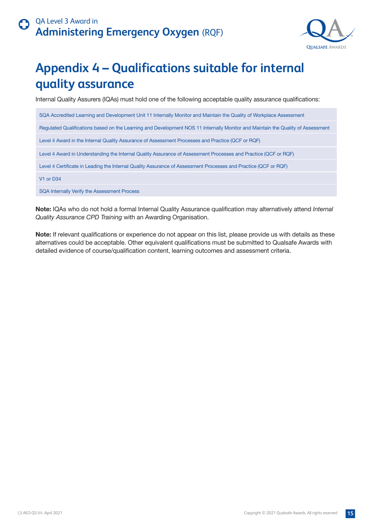

## <span id="page-14-0"></span>**Appendix 4 – Qualifications suitable for internal quality assurance**

Internal Quality Assurers (IQAs) must hold one of the following acceptable quality assurance qualifications:

SQA Accredited Learning and Development Unit 11 Internally Monitor and Maintain the Quality of Workplace Assessment Regulated Qualifications based on the Learning and Development NOS 11 Internally Monitor and Maintain the Quality of Assessment Level 4 Award in the Internal Quality Assurance of Assessment Processes and Practice (QCF or RQF) Level 4 Award in Understanding the Internal Quality Assurance of Assessment Processes and Practice (QCF or RQF) Level 4 Certificate in Leading the Internal Quality Assurance of Assessment Processes and Practice (QCF or RQF) V1 or D34

SQA Internally Verify the Assessment Process

**Note:** IQAs who do not hold a formal Internal Quality Assurance qualification may alternatively attend *Internal Quality Assurance CPD Training* with an Awarding Organisation.

**Note:** If relevant qualifications or experience do not appear on this list, please provide us with details as these alternatives could be acceptable. Other equivalent qualifications must be submitted to Qualsafe Awards with detailed evidence of course/qualification content, learning outcomes and assessment criteria.